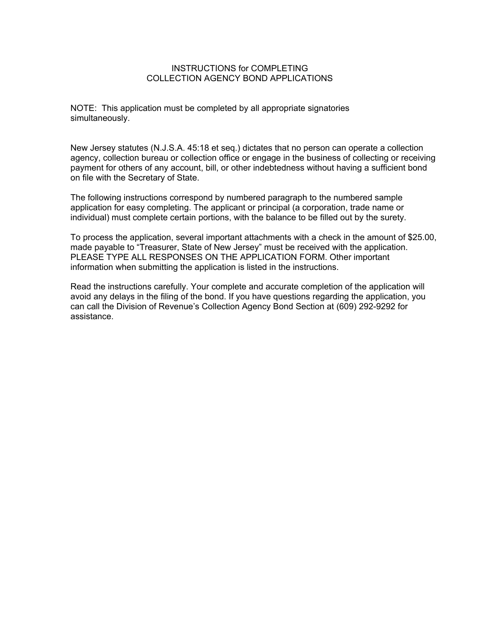### INSTRUCTIONS for COMPLETING COLLECTION AGENCY BOND APPLICATIONS

NOTE: This application must be completed by all appropriate signatories simultaneously.

New Jersey statutes (N.J.S.A. 45:18 et seq.) dictates that no person can operate a collection agency, collection bureau or collection office or engage in the business of collecting or receiving payment for others of any account, bill, or other indebtedness without having a sufficient bond on file with the Secretary of State.

The following instructions correspond by numbered paragraph to the numbered sample application for easy completing. The applicant or principal (a corporation, trade name or individual) must complete certain portions, with the balance to be filled out by the surety.

To process the application, several important attachments with a check in the amount of \$25.00, made payable to "Treasurer, State of New Jersey" must be received with the application. PLEASE TYPE ALL RESPONSES ON THE APPLICATION FORM. Other important information when submitting the application is listed in the instructions.

Read the instructions carefully. Your complete and accurate completion of the application will avoid any delays in the filing of the bond. If you have questions regarding the application, you can call the Division of Revenue's Collection Agency Bond Section at (609) 292-9292 for assistance.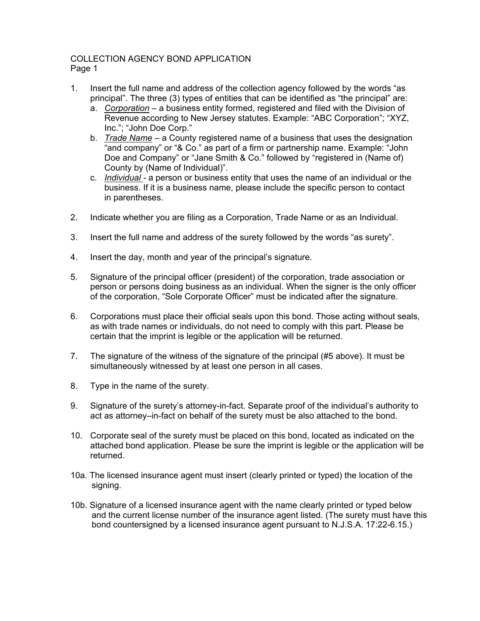## COLLECTION AGENCY BOND APPLICATION Page 1

- 1. Insert the full name and address of the collection agency followed by the words "as principal". The three (3) types of entities that can be identified as "the principal" are:
	- a. *Corporation* a business entity formed, registered and filed with the Division of Revenue according to New Jersey statutes. Example: "ABC Corporation"; "XYZ, Inc."; "John Doe Corp."
	- b. *Trade Name* a County registered name of a business that uses the designation "and company" or "& Co." as part of a firm or partnership name. Example: "John Doe and Company" or "Jane Smith & Co." followed by "registered in (Name of) County by (Name of Individual)".
	- c. *Individual*  a person or business entity that uses the name of an individual or the business. If it is a business name, please include the specific person to contact in parentheses.
- 2. Indicate whether you are filing as a Corporation, Trade Name or as an Individual.
- 3. Insert the full name and address of the surety followed by the words "as surety".
- 4. Insert the day, month and year of the principal's signature.
- 5. Signature of the principal officer (president) of the corporation, trade association or person or persons doing business as an individual. When the signer is the only officer of the corporation, "Sole Corporate Officer" must be indicated after the signature.
- 6. Corporations must place their official seals upon this bond. Those acting without seals, as with trade names or individuals, do not need to comply with this part. Please be certain that the imprint is legible or the application will be returned.
- 7. The signature of the witness of the signature of the principal (#5 above). It must be simultaneously witnessed by at least one person in all cases.
- 8. Type in the name of the surety.
- 9. Signature of the surety's attorney-in-fact. Separate proof of the individual's authority to act as attorney–in-fact on behalf of the surety must be also attached to the bond.
- 10. Corporate seal of the surety must be placed on this bond, located as indicated on the attached bond application. Please be sure the imprint is legible or the application will be returned.
- 10a. The licensed insurance agent must insert (clearly printed or typed) the location of the signing.
- 10b. Signature of a licensed insurance agent with the name clearly printed or typed below and the current license number of the insurance agent listed. (The surety must have this bond countersigned by a licensed insurance agent pursuant to N.J.S.A. 17:22-6.15.)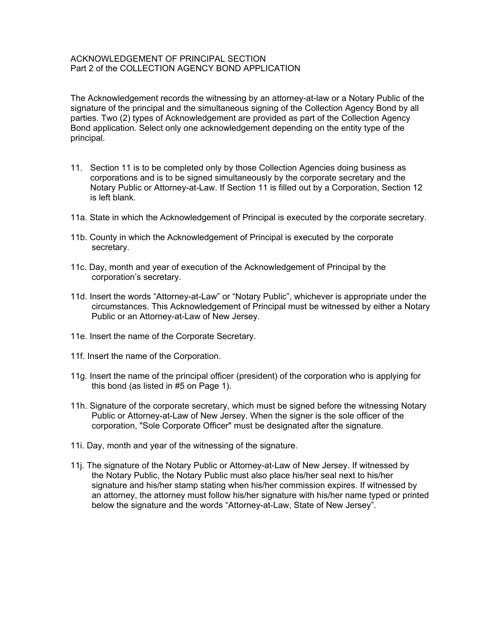### ACKNOWLEDGEMENT OF PRINCIPAL SECTION Part 2 of the COLLECTION AGENCY BOND APPLICATION

The Acknowledgement records the witnessing by an attorney-at-law or a Notary Public of the signature of the principal and the simultaneous signing of the Collection Agency Bond by all parties. Two (2) types of Acknowledgement are provided as part of the Collection Agency Bond application. Select only one acknowledgement depending on the entity type of the principal.

- 11. Section 11 is to be completed only by those Collection Agencies doing business as corporations and is to be signed simultaneously by the corporate secretary and the Notary Public or Attorney-at-Law. If Section 11 is filled out by a Corporation, Section 12 is left blank.
- 11a. State in which the Acknowledgement of Principal is executed by the corporate secretary.
- 11b. County in which the Acknowledgement of Principal is executed by the corporate secretary.
- 11c. Day, month and year of execution of the Acknowledgement of Principal by the corporation's secretary.
- 11d. Insert the words "Attorney-at-Law" or "Notary Public", whichever is appropriate under the circumstances. This Acknowledgement of Principal must be witnessed by either a Notary Public or an Attorney-at-Law of New Jersey.
- 11e. Insert the name of the Corporate Secretary.
- 11f. Insert the name of the Corporation.
- 11g. Insert the name of the principal officer (president) of the corporation who is applying for this bond (as listed in #5 on Page 1).
- 11h. Signature of the corporate secretary, which must be signed before the witnessing Notary Public or Attorney-at-Law of New Jersey. When the signer is the sole officer of the corporation, "Sole Corporate Officer" must be designated after the signature.
- 11i. Day, month and year of the witnessing of the signature.
- 11j. The signature of the Notary Public or Attorney-at-Law of New Jersey. If witnessed by the Notary Public, the Notary Public must also place his/her seal next to his/her signature and his/her stamp stating when his/her commission expires. If witnessed by an attorney, the attorney must follow his/her signature with his/her name typed or printed below the signature and the words "Attorney-at-Law, State of New Jersey".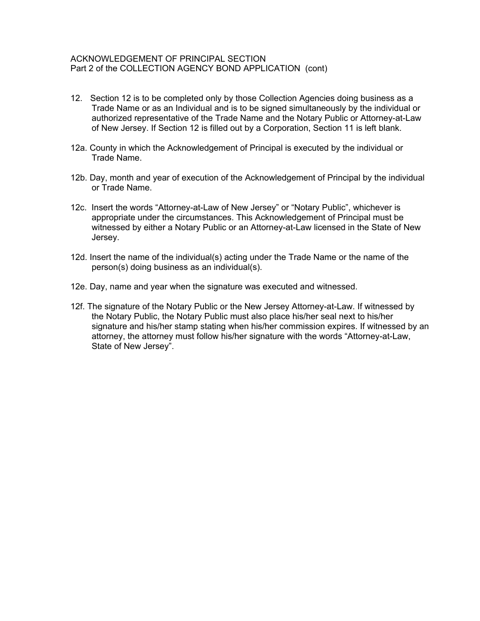### ACKNOWLEDGEMENT OF PRINCIPAL SECTION Part 2 of the COLLECTION AGENCY BOND APPLICATION (cont)

- 12. Section 12 is to be completed only by those Collection Agencies doing business as a Trade Name or as an Individual and is to be signed simultaneously by the individual or authorized representative of the Trade Name and the Notary Public or Attorney-at-Law of New Jersey. If Section 12 is filled out by a Corporation, Section 11 is left blank.
- 12a. County in which the Acknowledgement of Principal is executed by the individual or Trade Name.
- 12b. Day, month and year of execution of the Acknowledgement of Principal by the individual or Trade Name.
- 12c. Insert the words "Attorney-at-Law of New Jersey" or "Notary Public", whichever is appropriate under the circumstances. This Acknowledgement of Principal must be witnessed by either a Notary Public or an Attorney-at-Law licensed in the State of New Jersey.
- 12d. Insert the name of the individual(s) acting under the Trade Name or the name of the person(s) doing business as an individual(s).
- 12e. Day, name and year when the signature was executed and witnessed.
- 12f. The signature of the Notary Public or the New Jersey Attorney-at-Law. If witnessed by the Notary Public, the Notary Public must also place his/her seal next to his/her signature and his/her stamp stating when his/her commission expires. If witnessed by an attorney, the attorney must follow his/her signature with the words "Attorney-at-Law, State of New Jersey".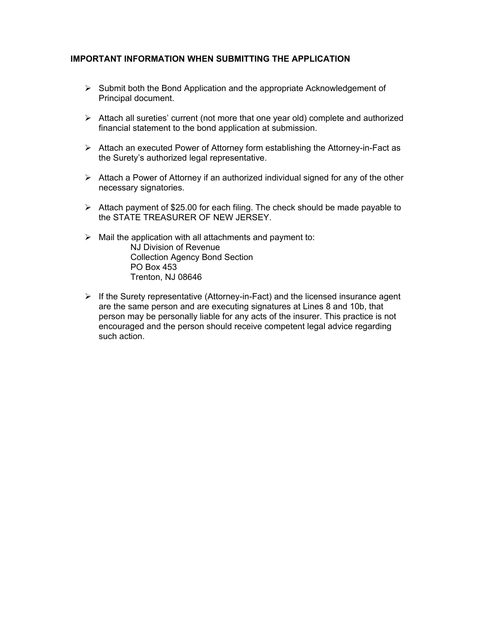### **IMPORTANT INFORMATION WHEN SUBMITTING THE APPLICATION**

- $\triangleright$  Submit both the Bond Application and the appropriate Acknowledgement of Principal document.
- ¾ Attach all sureties' current (not more that one year old) complete and authorized financial statement to the bond application at submission.
- $\triangleright$  Attach an executed Power of Attorney form establishing the Attorney-in-Fact as the Surety's authorized legal representative.
- $\triangleright$  Attach a Power of Attorney if an authorized individual signed for any of the other necessary signatories.
- $\triangleright$  Attach payment of \$25.00 for each filing. The check should be made payable to the STATE TREASURER OF NEW JERSEY.
- $\triangleright$  Mail the application with all attachments and payment to: NJ Division of Revenue Collection Agency Bond Section PO Box 453 Trenton, NJ 08646
- $\triangleright$  If the Surety representative (Attorney-in-Fact) and the licensed insurance agent are the same person and are executing signatures at Lines 8 and 10b, that person may be personally liable for any acts of the insurer. This practice is not encouraged and the person should receive competent legal advice regarding such action.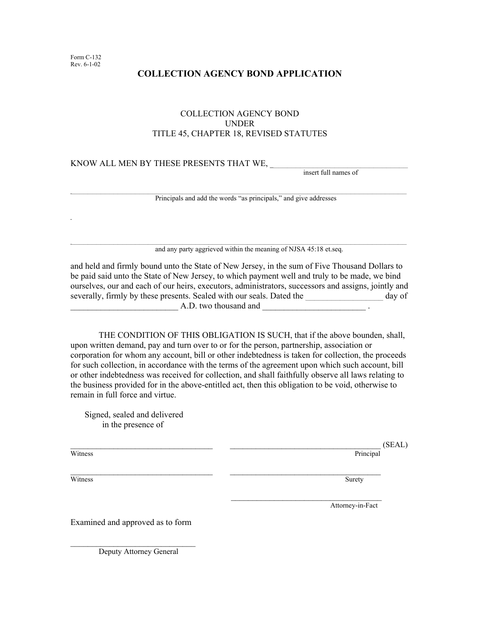# **COLLECTION AGENCY BOND APPLICATION**

### COLLECTION AGENCY BOND UNDER TITLE 45, CHAPTER 18, REVISED STATUTES

# KNOW ALL MEN BY THESE PRESENTS THAT WE, \_\_\_\_\_\_\_\_\_\_\_\_\_\_\_\_\_\_\_\_\_\_\_\_\_\_\_\_\_\_\_\_ insert full names of

Principals and add the words "as principals," and give addresses

 $\mathcal{L}_\mathcal{L} = \{ \mathcal{L}_\mathcal{L} = \{ \mathcal{L}_\mathcal{L} = \{ \mathcal{L}_\mathcal{L} = \{ \mathcal{L}_\mathcal{L} = \{ \mathcal{L}_\mathcal{L} = \{ \mathcal{L}_\mathcal{L} = \{ \mathcal{L}_\mathcal{L} = \{ \mathcal{L}_\mathcal{L} = \{ \mathcal{L}_\mathcal{L} = \{ \mathcal{L}_\mathcal{L} = \{ \mathcal{L}_\mathcal{L} = \{ \mathcal{L}_\mathcal{L} = \{ \mathcal{L}_\mathcal{L} = \{ \mathcal{L}_\mathcal{$ 

and any party aggrieved within the meaning of NJSA 45:18 et.seq.

and held and firmly bound unto the State of New Jersey, in the sum of Five Thousand Dollars to be paid said unto the State of New Jersey, to which payment well and truly to be made, we bind ourselves, our and each of our heirs, executors, administrators, successors and assigns, jointly and severally, firmly by these presents. Sealed with our seals. Dated the day of A.D. two thousand and

THE CONDITION OF THIS OBLIGATION IS SUCH, that if the above bounden, shall, upon written demand, pay and turn over to or for the person, partnership, association or corporation for whom any account, bill or other indebtedness is taken for collection, the proceeds for such collection, in accordance with the terms of the agreement upon which such account, bill or other indebtedness was received for collection, and shall faithfully observe all laws relating to the business provided for in the above-entitled act, then this obligation to be void, otherwise to remain in full force and virtue.

\_\_\_\_\_\_\_\_\_\_\_\_\_\_\_\_\_\_\_\_\_\_\_\_\_\_\_\_\_\_\_\_\_ \_\_\_\_\_\_\_\_\_\_\_\_\_\_\_\_\_\_\_\_\_\_\_\_\_\_\_\_\_\_\_\_\_\_\_

Signed, sealed and delivered in the presence of

**Witness** 

**Witness** 

 $(SEAL)$ 

Principal

**Surety** 

Attorney-in-Fact

Examined and approved as to form

Deputy Attorney General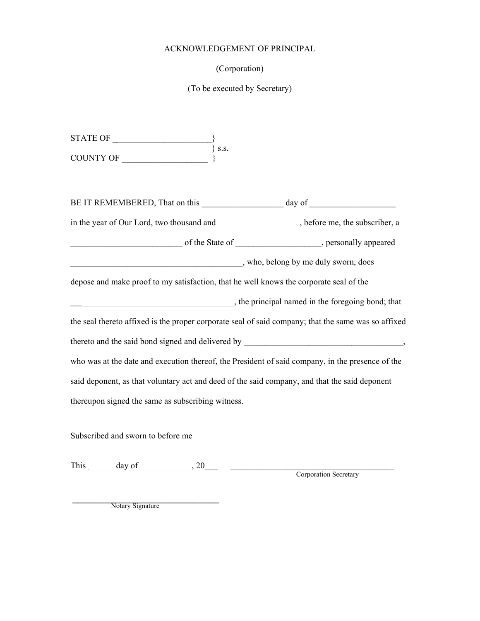### ACKNOWLEDGEMENT OF PRINCIPAL

### (Corporation)

### (To be executed by Secretary)

 $STATE OF$  $\{$  s.s. COUNTY OF \_\_\_\_\_\_\_\_\_\_\_\_\_\_\_\_\_\_\_\_ } BE IT REMEMBERED, That on this day of  $\frac{1}{2}$ in the year of Our Lord, two thousand and  $\qquad \qquad$ , before me, the subscriber, a \_\_\_\_\_\_\_\_\_\_\_\_\_\_\_\_\_\_\_\_\_\_\_\_\_\_ of the State of \_\_\_\_\_\_\_\_\_\_\_\_\_\_\_\_\_\_\_\_, personally appeared \_\_\_\_\_\_\_\_\_\_\_\_\_\_\_\_\_\_\_\_\_\_\_\_\_\_\_\_\_\_\_\_\_\_\_\_\_\_\_\_, who, belong by me duly sworn, does depose and make proof to my satisfaction, that he well knows the corporate seal of the \_\_\_\_\_\_\_\_\_\_\_\_\_\_\_\_\_\_\_\_\_\_\_\_\_\_\_\_\_\_\_\_\_\_\_\_\_\_, the principal named in the foregoing bond; that the seal thereto affixed is the proper corporate seal of said company; that the same was so affixed thereto and the said bond signed and delivered by \_\_\_\_\_\_\_\_\_\_\_\_\_\_\_\_\_\_\_\_\_\_\_\_\_\_\_\_\_\_, who was at the date and execution thereof, the President of said company, in the presence of the said deponent, as that voluntary act and deed of the said company, and that the said deponent thereupon signed the same as subscribing witness.

Subscribed and sworn to before me

This day of  $\frac{1}{20}$ 

Corporation Secretary

\_\_\_\_\_\_\_\_\_\_\_\_\_\_\_\_\_\_\_\_\_\_\_\_\_\_\_\_ Notary Signature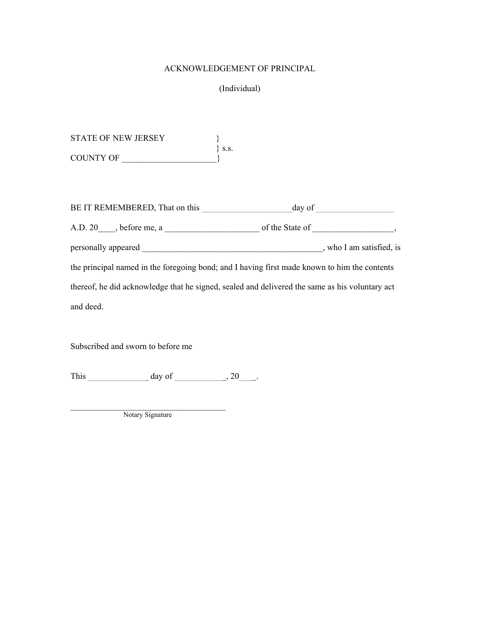### ACKNOWLEDGEMENT OF PRINCIPAL

## (Individual)

STATE OF NEW JERSEY  $\}$  s.s. COUNTY OF

| BE IT REMEMBERED, That on this | day of                                                                                         |
|--------------------------------|------------------------------------------------------------------------------------------------|
| $A.D. 20$ , before me, a       | of the State of                                                                                |
| personally appeared            | , who I am satisfied, is                                                                       |
|                                | the principal named in the foregoing bond; and I having first made known to him the contents   |
|                                | thereof, he did acknowledge that he signed, sealed and delivered the same as his voluntary act |
| and deed.                      |                                                                                                |

Subscribed and sworn to before me

This  $\_\_\_\_\_\_\_\$  day of  $\_\_\_\_\_\_\$ 

Notary Signature